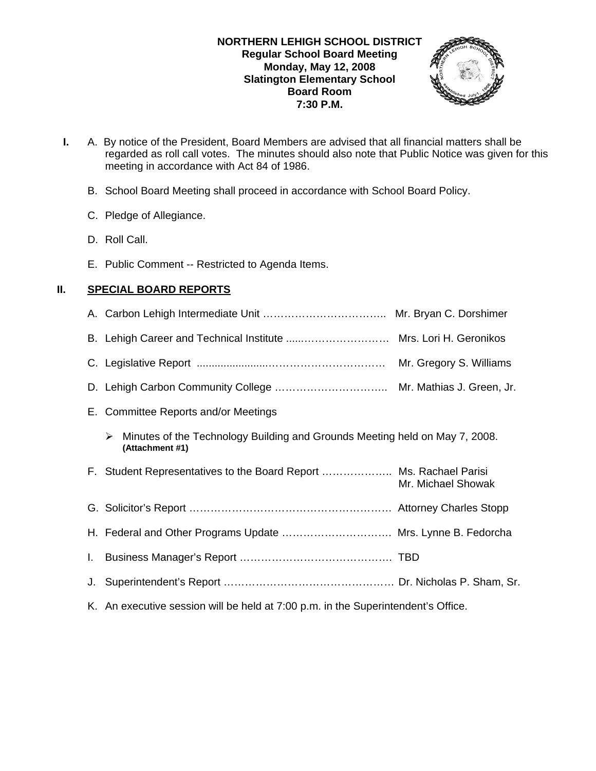## **NORTHERN LEHIGH SCHOOL DISTRICT Regular School Board Meeting Monday, May 12, 2008 Slatington Elementary School Board Room 7:30 P.M.**



- **I.** A. By notice of the President, Board Members are advised that all financial matters shall be regarded as roll call votes. The minutes should also note that Public Notice was given for this meeting in accordance with Act 84 of 1986.
	- B. School Board Meeting shall proceed in accordance with School Board Policy.
	- C. Pledge of Allegiance.
	- D. Roll Call.
	- E. Public Comment -- Restricted to Agenda Items.

# **II. SPECIAL BOARD REPORTS**

| Mr. Gregory S. Williams                                                                             |
|-----------------------------------------------------------------------------------------------------|
|                                                                                                     |
| E. Committee Reports and/or Meetings                                                                |
| Minutes of the Technology Building and Grounds Meeting held on May 7, 2008.<br>➤<br>(Attachment #1) |
| F. Student Representatives to the Board Report  Ms. Rachael Parisi<br>Mr. Michael Showak            |
|                                                                                                     |
| H. Federal and Other Programs Update  Mrs. Lynne B. Fedorcha                                        |
|                                                                                                     |
|                                                                                                     |
|                                                                                                     |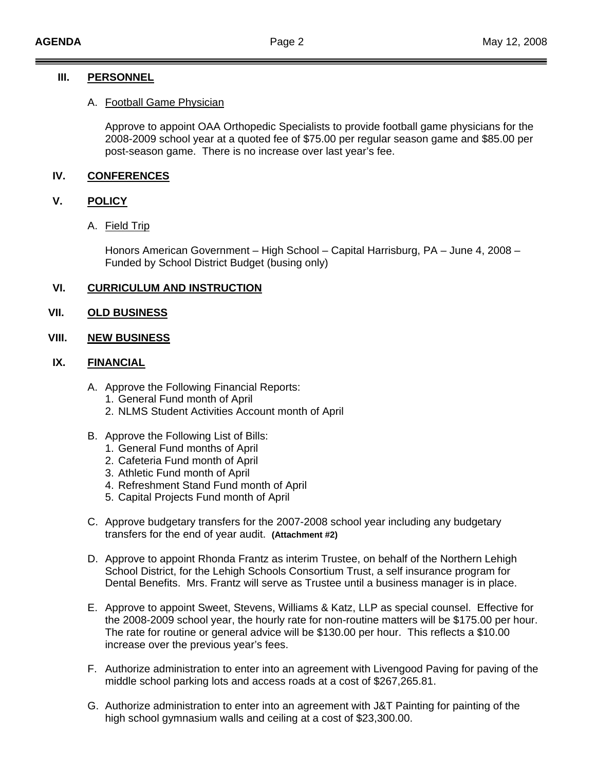### **III. PERSONNEL**

#### A. Football Game Physician

 Approve to appoint OAA Orthopedic Specialists to provide football game physicians for the 2008-2009 school year at a quoted fee of \$75.00 per regular season game and \$85.00 per post-season game. There is no increase over last year's fee.

### **IV. CONFERENCES**

### **V. POLICY**

## A. Field Trip

Honors American Government – High School – Capital Harrisburg, PA – June 4, 2008 – Funded by School District Budget (busing only)

# **VI. CURRICULUM AND INSTRUCTION**

### **VII. OLD BUSINESS**

# **VIII. NEW BUSINESS**

#### **IX. FINANCIAL**

- A. Approve the Following Financial Reports:
	- 1. General Fund month of April
	- 2. NLMS Student Activities Account month of April
- B. Approve the Following List of Bills:
	- 1. General Fund months of April
	- 2. Cafeteria Fund month of April
	- 3. Athletic Fund month of April
	- 4. Refreshment Stand Fund month of April
	- 5. Capital Projects Fund month of April
- C. Approve budgetary transfers for the 2007-2008 school year including any budgetary transfers for the end of year audit. **(Attachment #2)**
- D. Approve to appoint Rhonda Frantz as interim Trustee, on behalf of the Northern Lehigh School District, for the Lehigh Schools Consortium Trust, a self insurance program for Dental Benefits. Mrs. Frantz will serve as Trustee until a business manager is in place.
- E. Approve to appoint Sweet, Stevens, Williams & Katz, LLP as special counsel. Effective for the 2008-2009 school year, the hourly rate for non-routine matters will be \$175.00 per hour. The rate for routine or general advice will be \$130.00 per hour. This reflects a \$10.00 increase over the previous year's fees.
- F. Authorize administration to enter into an agreement with Livengood Paving for paving of the middle school parking lots and access roads at a cost of \$267,265.81.
- G. Authorize administration to enter into an agreement with J&T Painting for painting of the high school gymnasium walls and ceiling at a cost of \$23,300.00.